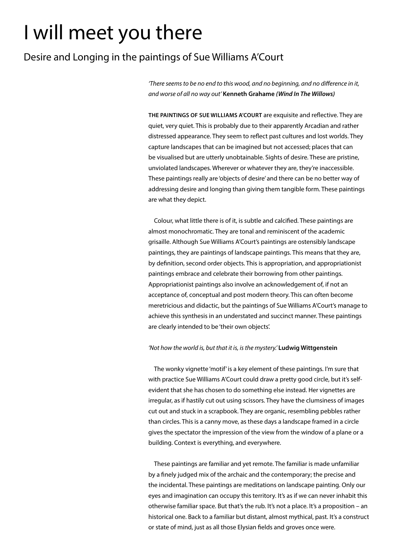# I will meet you there

## Desire and Longing in the paintings of Sue Williams A'Court

*'There seems to be no end to this wood, and no beginning, and no difference in it, and worse of all no way out'* **Kenneth Grahame** *(Wind In The Willows)*

**THE PAINTINGS OF SUE WILLIAMS A'COURT** are exquisite and reflective. They are quiet, very quiet. This is probably due to their apparently Arcadian and rather distressed appearance. They seem to reflect past cultures and lost worlds. They capture landscapes that can be imagined but not accessed; places that can be visualised but are utterly unobtainable. Sights of desire. These are pristine, unviolated landscapes. Wherever or whatever they are, they're inaccessible. These paintings really are 'objects of desire' and there can be no better way of addressing desire and longing than giving them tangible form. These paintings are what they depict.

Colour, what little there is of it, is subtle and calcified. These paintings are almost monochromatic. They are tonal and reminiscent of the academic grisaille. Although Sue Williams A'Court's paintings are ostensibly landscape paintings, they are paintings of landscape paintings. This means that they are, by definition, second order objects. This is appropriation, and appropriationist paintings embrace and celebrate their borrowing from other paintings. Appropriationist paintings also involve an acknowledgement of, if not an acceptance of, conceptual and post modern theory. This can often become meretricious and didactic, but the paintings of Sue Williams A'Court's manage to achieve this synthesis in an understated and succinct manner. These paintings are clearly intended to be 'their own objects'.

### *'Not how the world is, but that it is, is the mystery.'* **Ludwig Wittgenstein**

The wonky vignette 'motif' is a key element of these paintings. I'm sure that with practice Sue Williams A'Court could draw a pretty good circle, but it's selfevident that she has chosen to do something else instead. Her vignettes are irregular, as if hastily cut out using scissors. They have the clumsiness of images cut out and stuck in a scrapbook. They are organic, resembling pebbles rather than circles. This is a canny move, as these days a landscape framed in a circle gives the spectator the impression of the view from the window of a plane or a building. Context is everything, and everywhere.

These paintings are familiar and yet remote. The familiar is made unfamiliar by a finely judged mix of the archaic and the contemporary; the precise and the incidental. These paintings are meditations on landscape painting. Only our eyes and imagination can occupy this territory. It's as if we can never inhabit this otherwise familiar space. But that's the rub. It's not a place. It's a proposition – an historical one. Back to a familiar but distant, almost mythical, past. It's a construct or state of mind, just as all those Elysian fields and groves once were.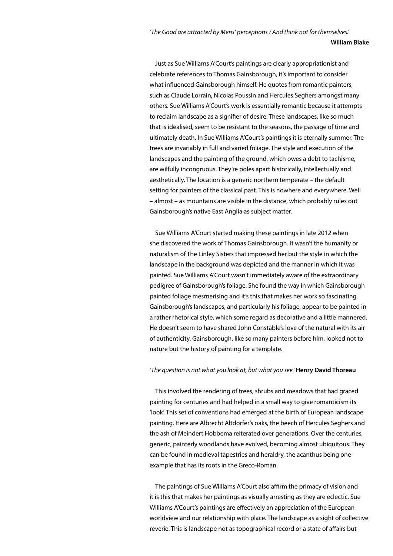#### **William Blake**

Just as Sue Williams A'Court's paintings are clearly appropriationist and celebrate references to Thomas Gainsborough, it's important to consider what influenced Gainsborough himself. He quotes from romantic painters, such as Claude Lorrain, Nicolas Poussin and Hercules Seghers amongst many others. Sue Williams A'Court's work is essentially romantic because it attempts to reclaim landscape as a signifier of desire. These landscapes, like so much that is idealised, seem to be resistant to the seasons, the passage of time and ultimately death. In Sue Williams A'Court's paintings it is eternally summer. The trees are invariably in full and varied foliage. The style and execution of the landscapes and the painting of the ground, which owes a debt to tachisme, are wilfully incongruous. They're poles apart historically, intellectually and aesthetically. The location is a generic northern temperate – the default setting for painters of the classical past. This is nowhere and everywhere. Well – almost – as mountains are visible in the distance, which probably rules out Gainsborough's native East Anglia as subject matter.

Sue Williams A'Court started making these paintings in late 2012 when she discovered the work of Thomas Gainsborough. It wasn't the humanity or naturalism of The Linley Sisters that impressed her but the style in which the landscape in the background was depicted and the manner in which it was painted. Sue Williams A'Court wasn't immediately aware of the extraordinary pedigree of Gainsborough's foliage. She found the way in which Gainsborough painted foliage mesmerising and it's this that makes her work so fascinating. Gainsborough's landscapes, and particularly his foliage, appear to be painted in a rather rhetorical style, which some regard as decorative and a little mannered. He doesn't seem to have shared John Constable's love of the natural with its air of authenticity. Gainsborough, like so many painters before him, looked not to nature but the history of painting for a template.

#### *'The question is not what you look at, but what you see.'* **Henry David Thoreau**

This involved the rendering of trees, shrubs and meadows that had graced painting for centuries and had helped in a small way to give romanticism its 'look'. This set of conventions had emerged at the birth of European landscape painting. Here are Albrecht Altdorfer's oaks, the beech of Hercules Seghers and the ash of Meindert Hobbema reiterated over generations. Over the centuries, generic, painterly woodlands have evolved, becoming almost ubiquitous. They can be found in medieval tapestries and heraldry, the acanthus being one example that has its roots in the Greco-Roman.

The paintings of Sue Williams A'Court also affirm the primacy of vision and it is this that makes her paintings as visually arresting as they are eclectic. Sue Williams A'Court's paintings are effectively an appreciation of the European worldview and our relationship with place. The landscape as a sight of collective reverie. This is landscape not as topographical record or a state of affairs but